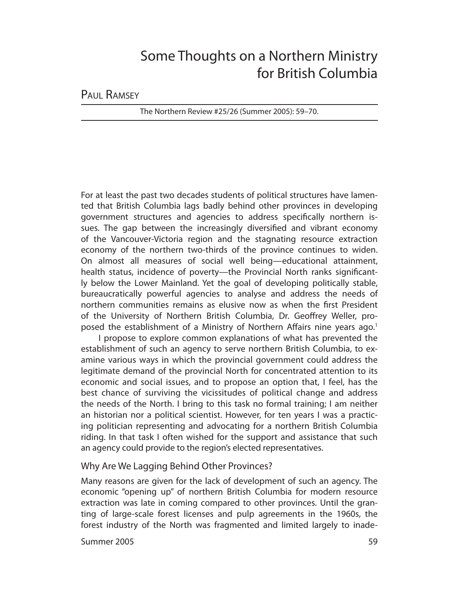# Some Thoughts on a Northern Ministry for British Columbia

PAUL RAMSEY

The Northern Review #25/26 (Summer 2005): 59–70.

For at least the past two decades students of political structures have lamented that British Columbia lags badly behind other provinces in developing government structures and agencies to address specifically northern issues. The gap between the increasingly diversified and vibrant economy of the Vancouver-Victoria region and the stagnating resource extraction economy of the northern two-thirds of the province continues to widen. On almost all measures of social well being—educational attainment, health status, incidence of poverty—the Provincial North ranks significantly below the Lower Mainland. Yet the goal of developing politically stable, bureaucratically powerful agencies to analyse and address the needs of northern communities remains as elusive now as when the first President of the University of Northern British Columbia, Dr. Geoffrey Weller, proposed the establishment of a Ministry of Northern Affairs nine years ago.<sup>1</sup>

I propose to explore common explanations of what has prevented the establishment of such an agency to serve northern British Columbia, to examine various ways in which the provincial government could address the legitimate demand of the provincial North for concentrated attention to its economic and social issues, and to propose an option that, I feel, has the best chance of surviving the vicissitudes of political change and address the needs of the North. I bring to this task no formal training; I am neither an historian nor a political scientist. However, for ten years I was a practicing politician representing and advocating for a northern British Columbia riding. In that task I often wished for the support and assistance that such an agency could provide to the region's elected representatives.

## Why Are We Lagging Behind Other Provinces?

Many reasons are given for the lack of development of such an agency. The economic "opening up" of northern British Columbia for modern resource extraction was late in coming compared to other provinces. Until the granting of large-scale forest licenses and pulp agreements in the 1960s, the forest industry of the North was fragmented and limited largely to inade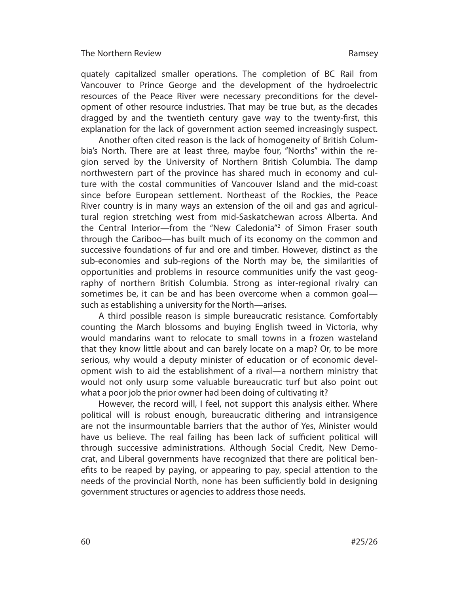quately capitalized smaller operations. The completion of BC Rail from Van couver to Prince George and the development of the hydroelectric resources of the Peace River were necessary preconditions for the development of other resource industries. That may be true but, as the decades dragged by and the twentieth century gave way to the twenty-first, this explanation for the lack of government action seemed increasingly suspect.

Another often cited reason is the lack of homogeneity of British Columbia's North. There are at least three, maybe four, "Norths" within the region served by the University of Northern British Columbia. The damp northwestern part of the province has shared much in economy and culture with the costal communities of Vancouver Island and the mid-coast since before European settlement. Northeast of the Rockies, the Peace River country is in many ways an extension of the oil and gas and agricultural region stretching west from mid-Saskatchewan across Alberta. And the Central Interior—from the "New Caledonia"2 of Simon Fraser south through the Cariboo—has built much of its economy on the common and successive foundations of fur and ore and timber. However, distinct as the sub-economies and sub-regions of the North may be, the similarities of opportunities and problems in resource communities unify the vast geography of northern British Columbia. Strong as inter-regional rivalry can sometimes be, it can be and has been overcome when a common goal such as establishing a university for the North—arises.

A third possible reason is simple bureaucratic resistance. Comfortably counting the March blossoms and buying English tweed in Victoria, why would mandarins want to relocate to small towns in a frozen wasteland that they know little about and can barely locate on a map? Or, to be more serious, why would a deputy minister of education or of economic development wish to aid the establishment of a rival—a northern ministry that would not only usurp some valuable bureaucratic turf but also point out what a poor job the prior owner had been doing of cultivating it?

However, the record will, I feel, not support this analysis either. Where political will is robust enough, bureaucratic dithering and intransigence are not the insurmountable barriers that the author of Yes, Minister would have us believe. The real failing has been lack of sufficient political will through successive administrations. Although Social Credit, New Democrat, and Liberal governments have recognized that there are political benefits to be reaped by paying, or appearing to pay, special attention to the needs of the provincial North, none has been sufficiently bold in designing government structures or agencies to address those needs.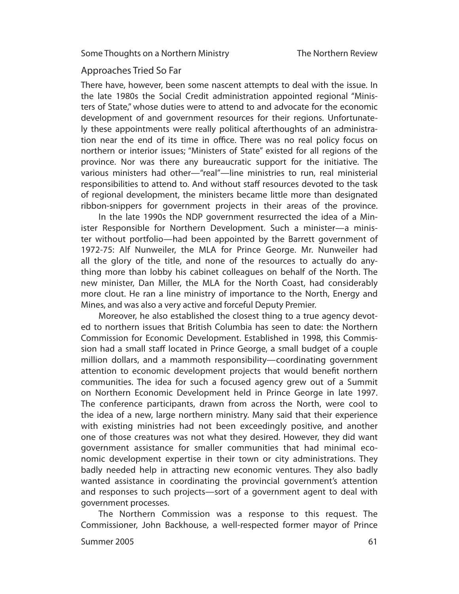## Approaches Tried So Far

There have, however, been some nascent attempts to deal with the issue. In the late 1980s the Social Credit administration appointed regional "Ministers of State," whose duties were to attend to and advocate for the economic de velopment of and government resources for their regions. Unfortunately these appointments were really political afterthoughts of an administration near the end of its time in office. There was no real policy focus on northern or interior issues; "Ministers of State" existed for all regions of the province. Nor was there any bureaucratic support for the initiative. The various ministers had other—"real"—line ministries to run, real ministerial responsibilities to attend to. And without staff resources devoted to the task of regional development, the ministers became little more than designated ribbon-snippers for government projects in their areas of the province.

In the late 1990s the NDP government resurrected the idea of a Minister Responsible for Northern Development. Such a minister—a minister without portfolio—had been appointed by the Barrett government of 1972-75: Alf Nunweiler, the MLA for Prince George. Mr. Nunweiler had all the glory of the title, and none of the resources to actually do anything more than lobby his cabinet colleagues on behalf of the North. The new minister, Dan Miller, the MLA for the North Coast, had considerably more clout. He ran a line ministry of importance to the North, Energy and Mines, and was also a very active and forceful Deputy Premier.

Moreover, he also established the closest thing to a true agency devoted to northern issues that British Columbia has seen to date: the Northern Commission for Economic Development. Established in 1998, this Commission had a small staff located in Prince George, a small budget of a couple million dollars, and a mammoth responsibility—coordinating government attention to economic development projects that would benefit northern communities. The idea for such a focused agency grew out of a Summit on Northern Economic Development held in Prince George in late 1997. The conference participants, drawn from across the North, were cool to the idea of a new, large northern ministry. Many said that their experience with existing ministries had not been exceedingly positive, and another one of those creatures was not what they desired. However, they did want government assistance for smaller communities that had minimal economic development expertise in their town or city administrations. They badly needed help in attracting new economic ventures. They also badly wanted assistance in coordinating the provincial government's attention and responses to such projects—sort of a government agent to deal with government processes.

The Northern Commission was a response to this request. The Commissioner, John Backhouse, a well-respected former mayor of Prince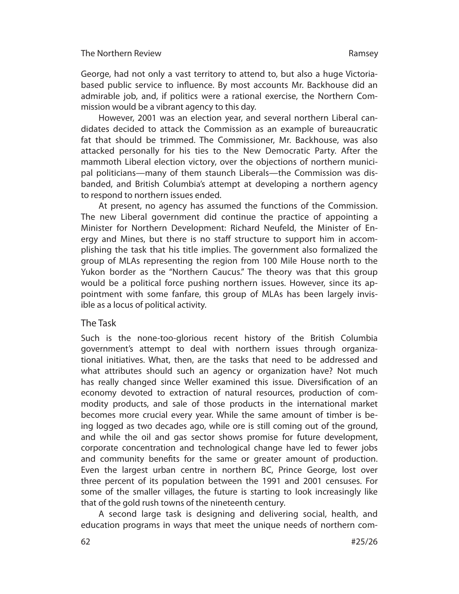George, had not only a vast territory to attend to, but also a huge Victoriabased public service to influence. By most accounts Mr. Backhouse did an admirable job, and, if politics were a rational exercise, the Northern Commission would be a vibrant agency to this day.

However, 2001 was an election year, and several northern Liberal candidates decided to attack the Commission as an example of bureaucratic fat that should be trimmed. The Commissioner, Mr. Backhouse, was also attacked personally for his ties to the New Democratic Party. After the mammoth Liberal election victory, over the objections of northern municipal politicians—many of them staunch Liberals—the Commission was disbanded, and British Columbia's attempt at developing a northern agency to respond to northern issues ended.

At present, no agency has assumed the functions of the Commission. The new Liberal government did continue the practice of appointing a Minister for Northern Development: Richard Neufeld, the Minister of Energy and Mines, but there is no staff structure to support him in accomplishing the task that his title implies. The government also formalized the group of MLAs representing the region from 100 Mile House north to the Yukon border as the "Northern Caucus." The theory was that this group would be a political force pushing northern issues. However, since its appointment with some fanfare, this group of MLAs has been largely invisible as a locus of political activity.

## The Task

Such is the none-too-glorious recent history of the British Columbia govern ment's attempt to deal with northern issues through organizational initiatives. What, then, are the tasks that need to be addressed and what attributes should such an agency or organization have? Not much has really changed since Weller examined this issue. Diversification of an economy devoted to extraction of natural resources, production of commodity products, and sale of those products in the international market becomes more crucial every year. While the same amount of timber is being logged as two decades ago, while ore is still coming out of the ground, and while the oil and gas sector shows promise for future development, corporate concentration and technological change have led to fewer jobs and community benefits for the same or greater amount of production. Even the largest urban centre in northern BC, Prince George, lost over three percent of its population between the 1991 and 2001 censuses. For some of the smaller villages, the future is starting to look increasingly like that of the gold rush towns of the nineteenth century.

A second large task is designing and delivering social, health, and education programs in ways that meet the unique needs of northern com-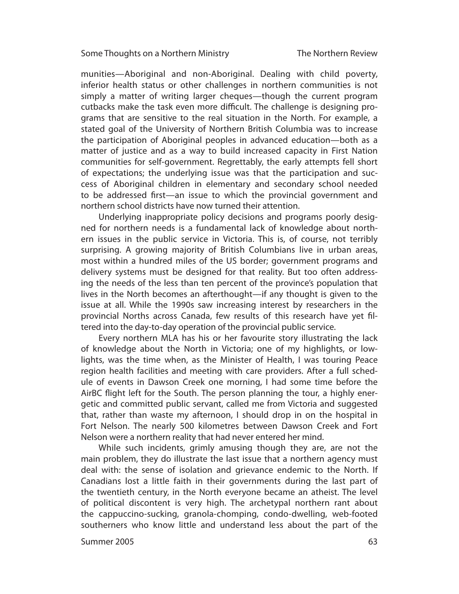#### Some Thoughts on a Northern Ministry

munities—Aboriginal and non-Aboriginal. Dealing with child poverty, inferior health status or other challenges in northern communities is not simply a matter of writing larger cheques—though the current program cutbacks make the task even more difficult. The challenge is designing programs that are sensitive to the real situation in the North. For example, a stated goal of the University of Northern British Columbia was to increase the participation of Aboriginal peoples in advanced education—both as a matter of justice and as a way to build increased capacity in First Nation communities for self-government. Regrettably, the early attempts fell short of expectations; the underlying issue was that the participation and success of Aboriginal children in elementary and secondary school needed to be addressed first—an issue to which the provincial government and northern school districts have now turned their attention.

Underlying inappropriate policy decisions and programs poorly designed for northern needs is a fundamental lack of knowledge about northern issues in the public service in Victoria. This is, of course, not terribly surprising. A growing majority of British Columbians live in urban areas, most within a hundred miles of the US border; government programs and delivery systems must be designed for that reality. But too often addressing the needs of the less than ten percent of the province's population that lives in the North becomes an afterthought—if any thought is given to the issue at all. While the 1990s saw increasing interest by researchers in the provincial Norths across Canada, few results of this research have yet filtered into the day-to-day operation of the provincial public service.

Every northern MLA has his or her favourite story illustrating the lack of knowledge about the North in Victoria; one of my highlights, or lowlights, was the time when, as the Minister of Health, I was touring Peace region health facilities and meeting with care providers. After a full schedule of events in Dawson Creek one morning, I had some time before the AirBC flight left for the South. The person planning the tour, a highly energetic and committed public servant, called me from Victoria and suggested that, rather than waste my afternoon, I should drop in on the hospital in Fort Nelson. The nearly 500 kilometres between Dawson Creek and Fort Nelson were a northern reality that had never entered her mind.

While such incidents, grimly amusing though they are, are not the main problem, they do illustrate the last issue that a northern agency must deal with: the sense of isolation and grievance endemic to the North. If Canadians lost a little faith in their governments during the last part of the twentieth century, in the North everyone became an atheist. The level of political discontent is very high. The archetypal northern rant about the cappuccino-sucking, granola-chomping, condo-dwelling, web-footed southerners who know little and understand less about the part of the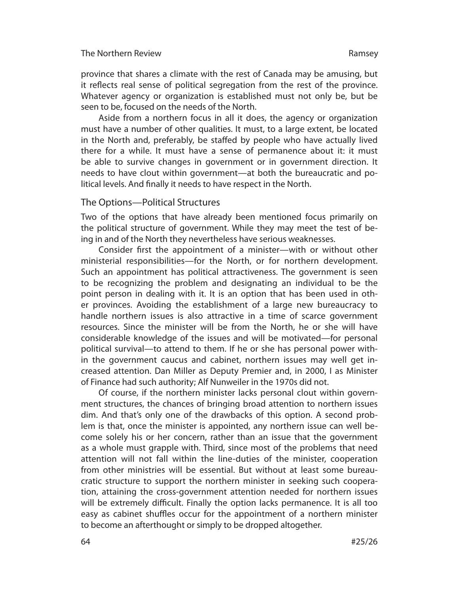province that shares a climate with the rest of Canada may be amusing, but it reflects real sense of political segregation from the rest of the province. Whatever agency or organization is established must not only be, but be seen to be, focused on the needs of the North.

Aside from a northern focus in all it does, the agency or organization must have a number of other qualities. It must, to a large extent, be located in the North and, preferably, be staffed by people who have actually lived there for a while. It must have a sense of permanence about it: it must be able to survive changes in government or in government direction. It needs to have clout within government—at both the bureaucratic and political levels. And finally it needs to have respect in the North.

## The Options—Political Structures

Two of the options that have already been mentioned focus primarily on the political structure of government. While they may meet the test of being in and of the North they nevertheless have serious weaknesses.

Consider first the appointment of a minister—with or without other ministerial responsibilities—for the North, or for northern development. Such an appointment has political attractiveness. The government is seen to be recognizing the problem and designating an individual to be the point person in dealing with it. It is an option that has been used in other provinces. Avoiding the establishment of a large new bureaucracy to handle northern issues is also attractive in a time of scarce government resources. Since the minister will be from the North, he or she will have considerable knowledge of the issues and will be motivated—for personal political survival—to attend to them. If he or she has personal power within the government caucus and cabinet, northern issues may well get increased attention. Dan Miller as Deputy Premier and, in 2000, I as Minister of Finance had such authority; Alf Nunweiler in the 1970s did not.

Of course, if the northern minister lacks personal clout within government structures, the chances of bringing broad attention to northern issues dim. And that's only one of the drawbacks of this option. A second problem is that, once the minister is appointed, any northern issue can well become solely his or her concern, rather than an issue that the government as a whole must grapple with. Third, since most of the problems that need attention will not fall within the line-duties of the minister, cooperation from other ministries will be essential. But without at least some bureaucratic structure to support the northern minister in seeking such cooperation, attaining the cross-government attention needed for northern issues will be extremely difficult. Finally the option lacks permanence. It is all too easy as cabinet shuffles occur for the appointment of a northern minister to become an afterthought or simply to be dropped altogether.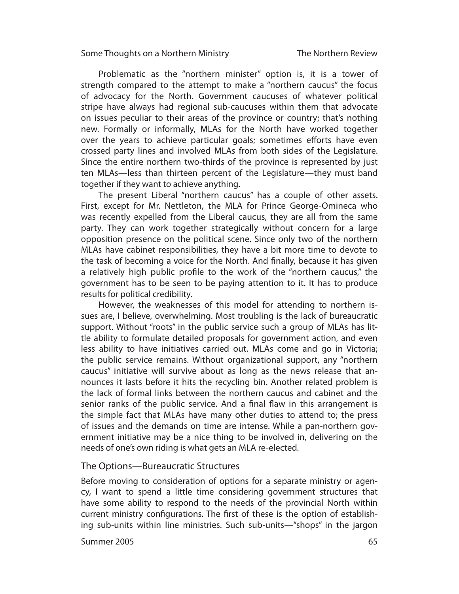#### Some Thoughts on a Northern Ministry

The Northern Review

Problematic as the "northern minister" option is, it is a tower of strength compared to the attempt to make a "northern caucus" the focus of advocacy for the North. Government caucuses of whatever political stripe have always had regional sub-caucuses within them that advocate on issues peculiar to their areas of the province or country; that's nothing new. Formally or informally, MLAs for the North have worked together over the years to achieve particular goals; sometimes efforts have even crossed party lines and involved MLAs from both sides of the Legislature. Since the entire northern two-thirds of the province is represented by just ten MLAs—less than thirteen percent of the Legislature—they must band together if they want to achieve anything.

The present Liberal "northern caucus" has a couple of other assets. First, except for Mr. Nettleton, the MLA for Prince George-Omineca who was recently expelled from the Liberal caucus, they are all from the same party. They can work together strategically without concern for a large opposition presence on the political scene. Since only two of the northern MLAs have cabinet responsibilities, they have a bit more time to devote to the task of becoming a voice for the North. And finally, because it has given a relatively high public profile to the work of the "northern caucus," the government has to be seen to be paying attention to it. It has to produce results for political credibility.

However, the weaknesses of this model for attending to northern issues are, I believe, overwhelming. Most troubling is the lack of bureaucratic support. Without "roots" in the public service such a group of MLAs has little ability to formulate detailed proposals for government action, and even less ability to have initiatives carried out. MLAs come and go in Victoria; the public service remains. Without organizational support, any "northern caucus" initiative will survive about as long as the news release that announces it lasts before it hits the recycling bin. Another related problem is the lack of formal links between the northern caucus and cabinet and the senior ranks of the public service. And a final flaw in this arrangement is the simple fact that MLAs have many other duties to attend to; the press of issues and the demands on time are intense. While a pan-northern government initiative may be a nice thing to be involved in, delivering on the needs of one's own riding is what gets an MLA re-elected.

## The Options—Bureaucratic Structures

Before moving to consideration of options for a separate ministry or agency, I want to spend a little time considering government structures that have some ability to respond to the needs of the provincial North within current ministry configurations. The first of these is the option of establishing sub-units within line ministries. Such sub-units—"shops" in the jargon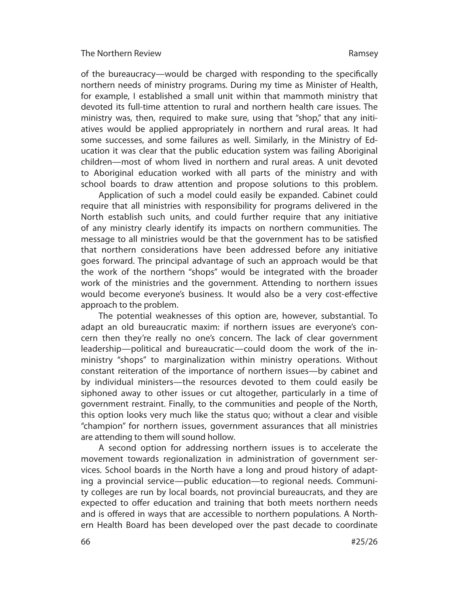of the bureaucracy—would be charged with responding to the specifically northern needs of ministry programs. During my time as Minister of Health, for example, I established a small unit within that mammoth ministry that devoted its full-time attention to rural and northern health care issues. The ministry was, then, required to make sure, using that "shop," that any initiatives would be applied appropriately in northern and rural areas. It had some successes, and some failures as well. Similarly, in the Ministry of Education it was clear that the public education system was failing Aboriginal children—most of whom lived in northern and rural areas. A unit devoted to Aboriginal education worked with all parts of the ministry and with school boards to draw attention and propose solutions to this problem.

Application of such a model could easily be expanded. Cabinet could require that all ministries with responsibility for programs delivered in the North establish such units, and could further require that any initiative of any ministry clearly identify its impacts on northern communities. The message to all ministries would be that the government has to be satisfied that northern considerations have been addressed before any initiative goes forward. The principal advantage of such an approach would be that the work of the northern "shops" would be integrated with the broader work of the ministries and the government. Attending to northern issues would become everyone's business. It would also be a very cost-effective approach to the problem.

The potential weaknesses of this option are, however, substantial. To adapt an old bureaucratic maxim: if northern issues are everyone's concern then they're really no one's concern. The lack of clear government leadership—political and bureaucratic—could doom the work of the inministry "shops" to marginalization within ministry operations. Without constant reiteration of the importance of northern issues—by cabinet and by individual ministers—the resources devoted to them could easily be siphoned away to other issues or cut altogether, particularly in a time of government restraint. Finally, to the communities and people of the North, this option looks very much like the status quo; without a clear and visible "champion" for northern issues, government assurances that all ministries are attending to them will sound hollow.

A second option for addressing northern issues is to accelerate the move ment towards regionalization in administration of government services. School boards in the North have a long and proud history of adapting a provincial service—public education—to regional needs. Community colleges are run by local boards, not provincial bureaucrats, and they are expected to offer education and training that both meets northern needs and is offered in ways that are accessible to northern populations. A Northern Health Board has been developed over the past decade to coordinate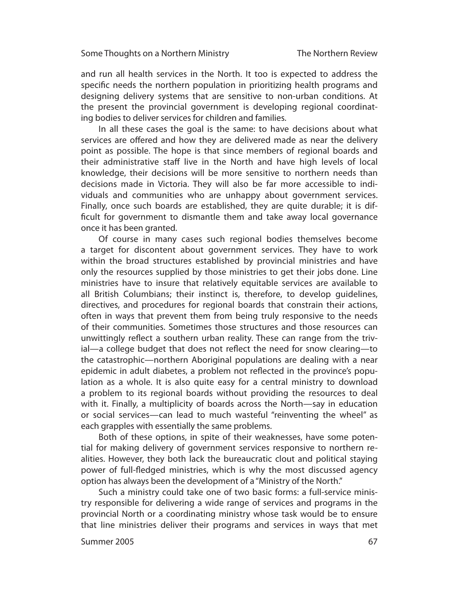and run all health services in the North. It too is expected to address the specific needs the northern population in prioritizing health programs and designing delivery systems that are sensitive to non-urban conditions. At the present the provincial government is developing regional coordinating bodies to deliver services for children and families.

In all these cases the goal is the same: to have decisions about what services are offered and how they are delivered made as near the delivery point as possible. The hope is that since members of regional boards and their administrative staff live in the North and have high levels of local knowledge, their decisions will be more sensitive to northern needs than decisions made in Victoria. They will also be far more accessible to individuals and communities who are unhappy about government services. Finally, once such boards are established, they are quite durable; it is difficult for government to dismantle them and take away local governance once it has been granted.

Of course in many cases such regional bodies themselves become a target for discontent about government services. They have to work within the broad structures established by provincial ministries and have only the resources supplied by those ministries to get their jobs done. Line ministries have to insure that relatively equitable services are available to all British Columbians; their instinct is, therefore, to develop quidelines, directives, and procedures for regional boards that constrain their actions, often in ways that prevent them from being truly responsive to the needs of their communities. Sometimes those structures and those resources can unwittingly reflect a southern urban reality. These can range from the trivial—a college budget that does not reflect the need for snow clearing—to the catastrophic—northern Aboriginal populations are dealing with a near epidemic in adult diabetes, a problem not reflected in the province's population as a whole. It is also quite easy for a central ministry to download a problem to its regional boards without providing the resources to deal with it. Finally, a multiplicity of boards across the North—say in education or social services—can lead to much wasteful "reinventing the wheel" as each grapples with essentially the same problems.

Both of these options, in spite of their weaknesses, have some potential for making delivery of government services responsive to northern realities. However, they both lack the bureaucratic clout and political staying power of full-fledged ministries, which is why the most discussed agency option has always been the development of a "Ministry of the North."

Such a ministry could take one of two basic forms: a full-service ministry responsible for delivering a wide range of services and programs in the provincial North or a coordinating ministry whose task would be to ensure that line ministries deliver their programs and services in ways that met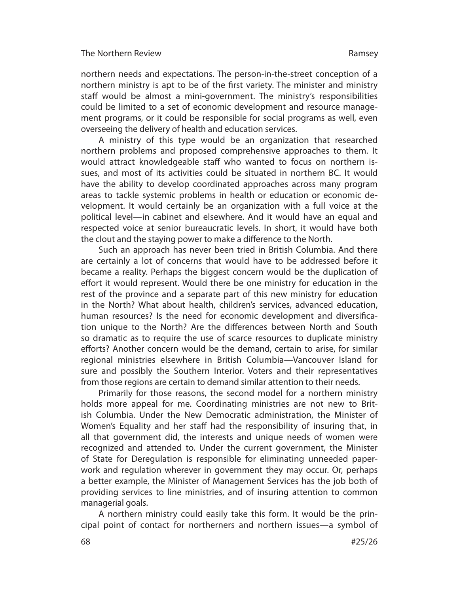northern needs and expectations. The person-in-the-street conception of a northern ministry is apt to be of the first variety. The minister and ministry staff would be almost a mini-government. The ministry's responsibilities could be limited to a set of economic development and resource management programs, or it could be responsible for social programs as well, even overseeing the delivery of health and education services.

A ministry of this type would be an organization that researched northern problems and proposed comprehensive approaches to them. It would attract knowledgeable staff who wanted to focus on northern issues, and most of its activities could be situated in northern BC. It would have the ability to develop coordinated approaches across many program areas to tackle systemic problems in health or education or economic development. It would certainly be an organization with a full voice at the political level—in cabinet and elsewhere. And it would have an equal and respected voice at senior bureaucratic levels. In short, it would have both the clout and the staying power to make a difference to the North.

Such an approach has never been tried in British Columbia. And there are certainly a lot of concerns that would have to be addressed before it be came a reality. Perhaps the biggest concern would be the duplication of effort it would represent. Would there be one ministry for education in the rest of the province and a separate part of this new ministry for education in the North? What about health, children's services, advanced education, human resources? Is the need for economic development and diversification unique to the North? Are the differences between North and South so dramatic as to require the use of scarce resources to duplicate ministry efforts? Another concern would be the demand, certain to arise, for similar regional ministries elsewhere in British Columbia—Vancouver Island for sure and possibly the Southern Interior. Voters and their representatives from those regions are certain to demand similar attention to their needs.

Primarily for those reasons, the second model for a northern ministry holds more appeal for me. Coordinating ministries are not new to British Columbia. Under the New Democratic administration, the Minister of Women's Equality and her staff had the responsibility of insuring that, in all that government did, the interests and unique needs of women were recognized and attended to. Under the current government, the Minister of State for De regulation is responsible for eliminating unneeded paperwork and regulation wherever in government they may occur. Or, perhaps a better example, the Minister of Management Services has the job both of providing services to line ministries, and of insuring attention to common managerial goals.

A northern ministry could easily take this form. It would be the principal point of contact for northerners and northern issues—a symbol of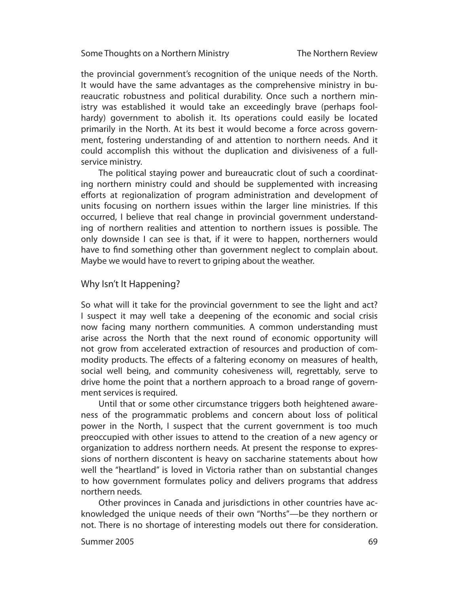Some Thoughts on a Northern Ministry

The Northern Review

the provincial government's recognition of the unique needs of the North. It would have the same advantages as the comprehensive ministry in bureaucratic robustness and political durability. Once such a northern ministry was established it would take an exceedingly brave (perhaps foolhardy) government to abolish it. Its operations could easily be located primarily in the North. At its best it would become a force across government, fostering understanding of and attention to northern needs. And it could accomplish this without the duplication and divisiveness of a fullservice ministry.

The political staying power and bureaucratic clout of such a coordinating northern ministry could and should be supplemented with increasing efforts at regionalization of program administration and development of units focusing on northern issues within the larger line ministries. If this occurred, I believe that real change in provincial government understanding of northern realities and attention to northern issues is possible. The only downside I can see is that, if it were to happen, northerners would have to find something other than government neglect to complain about. Maybe we would have to revert to griping about the weather.

## Why Isn't It Happening?

So what will it take for the provincial government to see the light and act? I suspect it may well take a deepening of the economic and social crisis now facing many northern communities. A common understanding must arise across the North that the next round of economic opportunity will not grow from accelerated extraction of resources and production of commodity products. The effects of a faltering economy on measures of health, social well being, and community cohesiveness will, regrettably, serve to drive home the point that a northern approach to a broad range of government services is required.

Until that or some other circumstance triggers both heightened awareness of the programmatic problems and concern about loss of political power in the North, I suspect that the current government is too much preoccupied with other issues to attend to the creation of a new agency or organization to address northern needs. At present the response to expressions of northern discontent is heavy on saccharine statements about how well the "heartland" is loved in Victoria rather than on substantial changes to how government formulates policy and delivers programs that address northern needs.

Other provinces in Canada and jurisdictions in other countries have acknowledged the unique needs of their own "Norths"—be they northern or not. There is no shortage of interesting models out there for consideration.